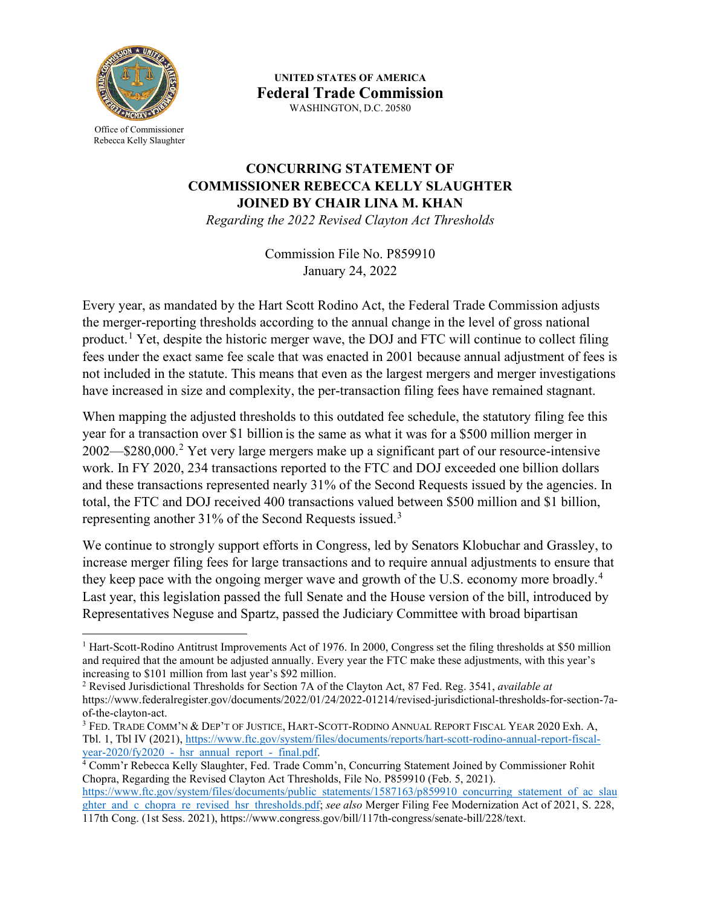

Office of Commissioner Rebecca Kelly Slaughter

**UNITED STATES OF AMERICA Federal Trade Commission** WASHINGTON, D.C. 20580

## **CONCURRING STATEMENT OF COMMISSIONER REBECCA KELLY SLAUGHTER JOINED BY CHAIR LINA M. KHAN**

*Regarding the 2022 Revised Clayton Act Thresholds*

Commission File No. P859910 January 24, 2022

Every year, as mandated by the Hart Scott Rodino Act, the Federal Trade Commission adjusts the merger-reporting thresholds according to the annual change in the level of gross national product.<sup>[1](#page-0-0)</sup> Yet, despite the historic merger wave, the DOJ and FTC will continue to collect filing fees under the exact same fee scale that was enacted in 2001 because annual adjustment of fees is not included in the statute. This means that even as the largest mergers and merger investigations have increased in size and complexity, the per-transaction filing fees have remained stagnant.

When mapping the adjusted thresholds to this outdated fee schedule, the statutory filing fee this year for a transaction over \$1 billion is the same as what it was for a \$500 million merger in 2002—\$280,000.[2](#page-0-1) Yet very large mergers make up a significant part of our resource-intensive work. In FY 2020, 234 transactions reported to the FTC and DOJ exceeded one billion dollars and these transactions represented nearly 31% of the Second Requests issued by the agencies. In total, the FTC and DOJ received 400 transactions valued between \$500 million and \$1 billion, representing another [3](#page-0-2)1% of the Second Requests issued.<sup>3</sup>

We continue to strongly support efforts in Congress, led by Senators Klobuchar and Grassley, to increase merger filing fees for large transactions and to require annual adjustments to ensure that they keep pace with the ongoing merger wave and growth of the U.S. economy more broadly.<sup>[4](#page-0-3)</sup> Last year, this legislation passed the full Senate and the House version of the bill, introduced by Representatives Neguse and Spartz, passed the Judiciary Committee with broad bipartisan

<span id="page-0-0"></span><sup>&</sup>lt;sup>1</sup> Hart-Scott-Rodino Antitrust Improvements Act of 1976. In 2000, Congress set the filing thresholds at \$50 million and required that the amount be adjusted annually. Every year the FTC make these adjustments, with this year's increasing to \$101 million from last year's \$92 million.

<span id="page-0-1"></span><sup>2</sup> Revised Jurisdictional Thresholds for Section 7A of the Clayton Act, 87 Fed. Reg. 3541, *available at* https://www.federalregister.gov/documents/2022/01/24/2022-01214/revised-jurisdictional-thresholds-for-section-7aof-the-clayton-act.

<span id="page-0-2"></span><sup>3</sup> FED. TRADE COMM'N & DEP'T OF JUSTICE, HART-SCOTT-RODINO ANNUAL REPORT FISCAL YEAR 2020 Exh. A, Tbl. 1, Tbl IV (2021), [https://www.ftc.gov/system/files/documents/reports/hart-scott-rodino-annual-report-fiscal-](https://www.ftc.gov/system/files/documents/reports/hart-scott-rodino-annual-report-fiscal-year-2020/fy2020_-_hsr_annual_report_-_final.pdf)

<span id="page-0-3"></span><sup>&</sup>lt;sup>4</sup> Comm'r Rebecca Kelly Slaughter, Fed. Trade Comm'n, Concurring Statement Joined by Commissioner Rohit Chopra, Regarding the Revised Clayton Act Thresholds, File No. P859910 (Feb. 5, 2021). [https://www.ftc.gov/system/files/documents/public\\_statements/1587163/p859910\\_concurring\\_statement\\_of\\_ac\\_slau](https://www.ftc.gov/system/files/documents/public_statements/1587163/p859910_concurring_statement_of_ac_slaughter_and_c_chopra_re_revised_hsr_thresholds.pdf) [ghter\\_and\\_c\\_chopra\\_re\\_revised\\_hsr\\_thresholds.pdf;](https://www.ftc.gov/system/files/documents/public_statements/1587163/p859910_concurring_statement_of_ac_slaughter_and_c_chopra_re_revised_hsr_thresholds.pdf) *see also* Merger Filing Fee Modernization Act of 2021, S. 228, 117th Cong. (1st Sess. 2021), https://www.congress.gov/bill/117th-congress/senate-bill/228/text.